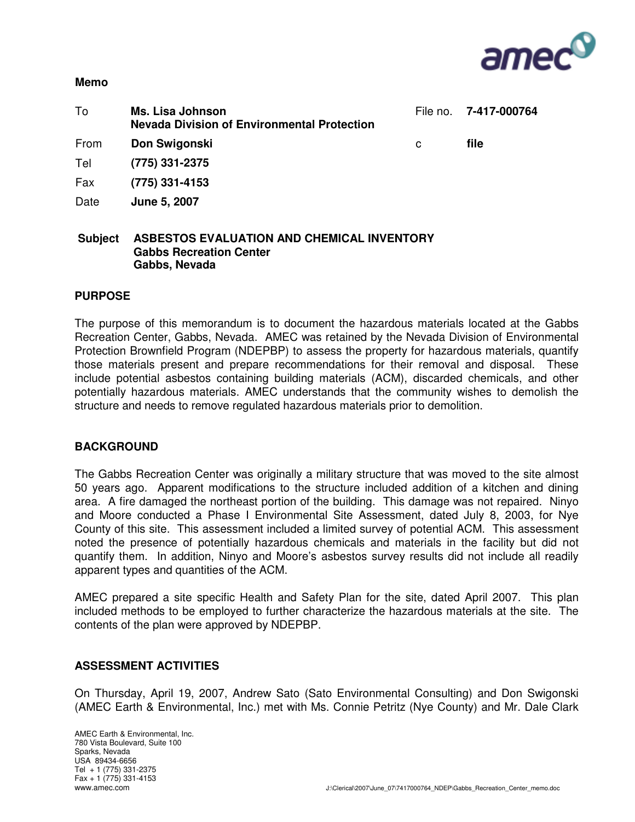

#### **Memo**

| To   | <b>Ms. Lisa Johnson</b><br><b>Nevada Division of Environmental Protection</b> | File no. | 7-417-000764 |
|------|-------------------------------------------------------------------------------|----------|--------------|
| From | Don Swigonski                                                                 | C        | file         |
| Tel  | (775) 331-2375                                                                |          |              |
| Fax  | $(775)$ 331-4153                                                              |          |              |
| Date | June 5, 2007                                                                  |          |              |
| .    | , , , , , , , , ,                                                             |          |              |

### **Subject ASBESTOS EVALUATION AND CHEMICAL INVENTORY Gabbs Recreation Center Gabbs, Nevada**

### **PURPOSE**

The purpose of this memorandum is to document the hazardous materials located at the Gabbs Recreation Center, Gabbs, Nevada. AMEC was retained by the Nevada Division of Environmental Protection Brownfield Program (NDEPBP) to assess the property for hazardous materials, quantify those materials present and prepare recommendations for their removal and disposal. These include potential asbestos containing building materials (ACM), discarded chemicals, and other potentially hazardous materials. AMEC understands that the community wishes to demolish the structure and needs to remove regulated hazardous materials prior to demolition.

### **BACKGROUND**

The Gabbs Recreation Center was originally a military structure that was moved to the site almost 50 years ago. Apparent modifications to the structure included addition of a kitchen and dining area. A fire damaged the northeast portion of the building. This damage was not repaired. Ninyo and Moore conducted a Phase I Environmental Site Assessment, dated July 8, 2003, for Nye County of this site. This assessment included a limited survey of potential ACM. This assessment noted the presence of potentially hazardous chemicals and materials in the facility but did not quantify them. In addition, Ninyo and Moore's asbestos survey results did not include all readily apparent types and quantities of the ACM.

AMEC prepared a site specific Health and Safety Plan for the site, dated April 2007. This plan included methods to be employed to further characterize the hazardous materials at the site. The contents of the plan were approved by NDEPBP.

### **ASSESSMENT ACTIVITIES**

On Thursday, April 19, 2007, Andrew Sato (Sato Environmental Consulting) and Don Swigonski (AMEC Earth & Environmental, Inc.) met with Ms. Connie Petritz (Nye County) and Mr. Dale Clark

AMEC Earth & Environmental, Inc. 780 Vista Boulevard, Suite 100 Sparks, Nevada USA 89434-6656 Tel + 1 (775) 331-2375  $Fax + 1$  (775) 331-4153<br>www.amec.com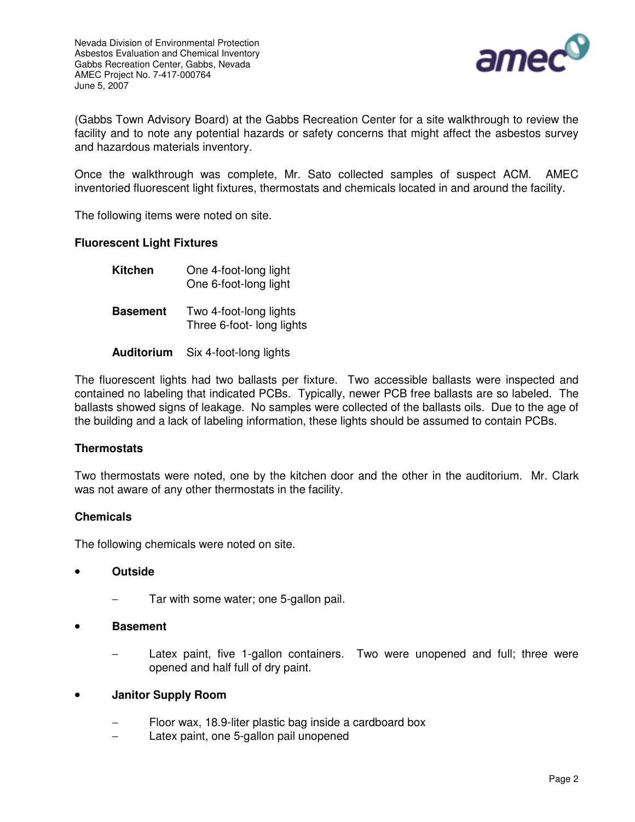

(Gabbs Town Advisory Board) at the Gabbs Recreation Center for a site walkthrough to review the facility and to note any potential hazards or safety concerns that might affect the asbestos survey and hazardous materials inventory.

Once the walkthrough was complete, Mr. Sato collected samples of suspect ACM. AMEC inventoried fluorescent light fixtures, thermostats and chemicals located in and around the facility.

The following items were noted on site.

### **Fluorescent Light Fixtures**

| <b>Kitchen</b>  | One 4-foot-long light<br>One 6-foot-long light      |
|-----------------|-----------------------------------------------------|
| <b>Basement</b> | Two 4-foot-long lights<br>Three 6-foot- long lights |

**Auditorium** Six 4-foot-long lights

The fluorescent lights had two ballasts per fixture. Two accessible ballasts were inspected and contained no labeling that indicated PCBs. Typically, newer PCB free ballasts are so labeled. The ballasts showed signs of leakage. No samples were collected of the ballasts oils. Due to the age of the building and a lack of labeling information, these lights should be assumed to contain PCBs.

## **Thermostats**

Two thermostats were noted, one by the kitchen door and the other in the auditorium. Mr. Clark was not aware of any other thermostats in the facility.

## **Chemicals**

The following chemicals were noted on site.

- **Outside**
	- Tar with some water; one 5-gallon pail.

### • **Basement**

Latex paint, five 1-gallon containers. Two were unopened and full; three were opened and half full of dry paint.

### • **Janitor Supply Room**

- Floor wax, 18.9-liter plastic bag inside a cardboard box
- − Latex paint, one 5-gallon pail unopened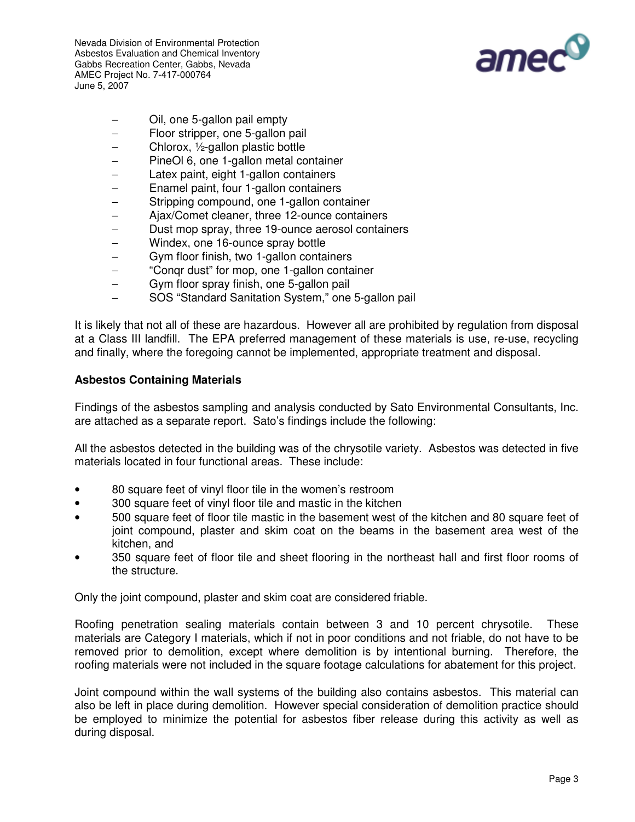Nevada Division of Environmental Protection Asbestos Evaluation and Chemical Inventory Gabbs Recreation Center, Gabbs, Nevada AMEC Project No. 7-417-000764 June 5, 2007



- − Oil, one 5-gallon pail empty
- − Floor stripper, one 5-gallon pail
- − Chlorox, ½-gallon plastic bottle
- − PineOl 6, one 1-gallon metal container
- − Latex paint, eight 1-gallon containers
- − Enamel paint, four 1-gallon containers
- − Stripping compound, one 1-gallon container
- − Ajax/Comet cleaner, three 12-ounce containers
- − Dust mop spray, three 19-ounce aerosol containers
- − Windex, one 16-ounce spray bottle
- − Gym floor finish, two 1-gallon containers
- − "Conqr dust" for mop, one 1-gallon container
- − Gym floor spray finish, one 5-gallon pail
- − SOS "Standard Sanitation System," one 5-gallon pail

It is likely that not all of these are hazardous. However all are prohibited by regulation from disposal at a Class III landfill. The EPA preferred management of these materials is use, re-use, recycling and finally, where the foregoing cannot be implemented, appropriate treatment and disposal.

## **Asbestos Containing Materials**

Findings of the asbestos sampling and analysis conducted by Sato Environmental Consultants, Inc. are attached as a separate report. Sato's findings include the following:

All the asbestos detected in the building was of the chrysotile variety. Asbestos was detected in five materials located in four functional areas. These include:

- 80 square feet of vinyl floor tile in the women's restroom
- 300 square feet of vinyl floor tile and mastic in the kitchen
- 500 square feet of floor tile mastic in the basement west of the kitchen and 80 square feet of joint compound, plaster and skim coat on the beams in the basement area west of the kitchen, and
- 350 square feet of floor tile and sheet flooring in the northeast hall and first floor rooms of the structure.

Only the joint compound, plaster and skim coat are considered friable.

Roofing penetration sealing materials contain between 3 and 10 percent chrysotile. These materials are Category I materials, which if not in poor conditions and not friable, do not have to be removed prior to demolition, except where demolition is by intentional burning. Therefore, the roofing materials were not included in the square footage calculations for abatement for this project.

Joint compound within the wall systems of the building also contains asbestos. This material can also be left in place during demolition. However special consideration of demolition practice should be employed to minimize the potential for asbestos fiber release during this activity as well as during disposal.